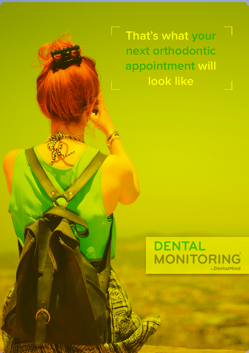**That's what your next orthodontic appointment will look like**

F)



 $112.11$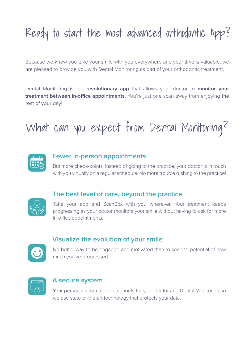# Ready to start the most advanced orthodontic App?

Because we know you take your smile with you everywhere and your time is valuable, we are pleased to provide you with Dental Monitoring as part of your orthodontic treatment.

Dental Monitoring is the **revolutionary app** that allows your doctor to **monitor your treatment between in-office appointments.** You're just one scan away from enjoying the rest of your day!

# What can you expect from Dental Monitoring?



### **Fewer in-person appointments**

But more check-points. Instead of going to the practice, your doctor is in touch with you virtually on a regular schedule. No more trouble rushing to the practice!



### **The best level of care, beyond the practice**

Take your app and ScanBox with you wherever. Your treatment keeps progressing as your doctor monitors your smile without having to ask for more in-office appointments.

### **Visualize the evolution of your smile**



No better way to be engaged and motivated than to see the potential of how much you've progressed.



#### **A secure system**

Your personal information is a priority for your doctor and Dental Monitoring so we use state-of-the-art technology that protects your data.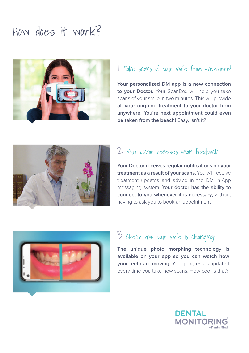## How does it work?



### 1 Take scans of your smile from anywhere!

**Your personalized DM app is a new connection to your Doctor.** Your ScanBox will help you take scans of your smile in two minutes. This will provide **all your ongoing treatment to your doctor from anywhere. You're next appointment could even be taken from the beach!** Easy, isn't it?



## 2 Your doctor receives scan feedback

**Your Doctor receives regular notifications on your treatment as a result of your scans.** You will receive treatment updates and advice in the DM in-App messaging system. **Your doctor has the ability to connect to you whenever it is necessary**, without having to ask you to book an appointment!



## 3 Check how your smile is changing!

**The unique photo morphing technology is available on your app so you can watch how your teeth are moving.** Your progress is updated every time you take new scans. How cool is that?